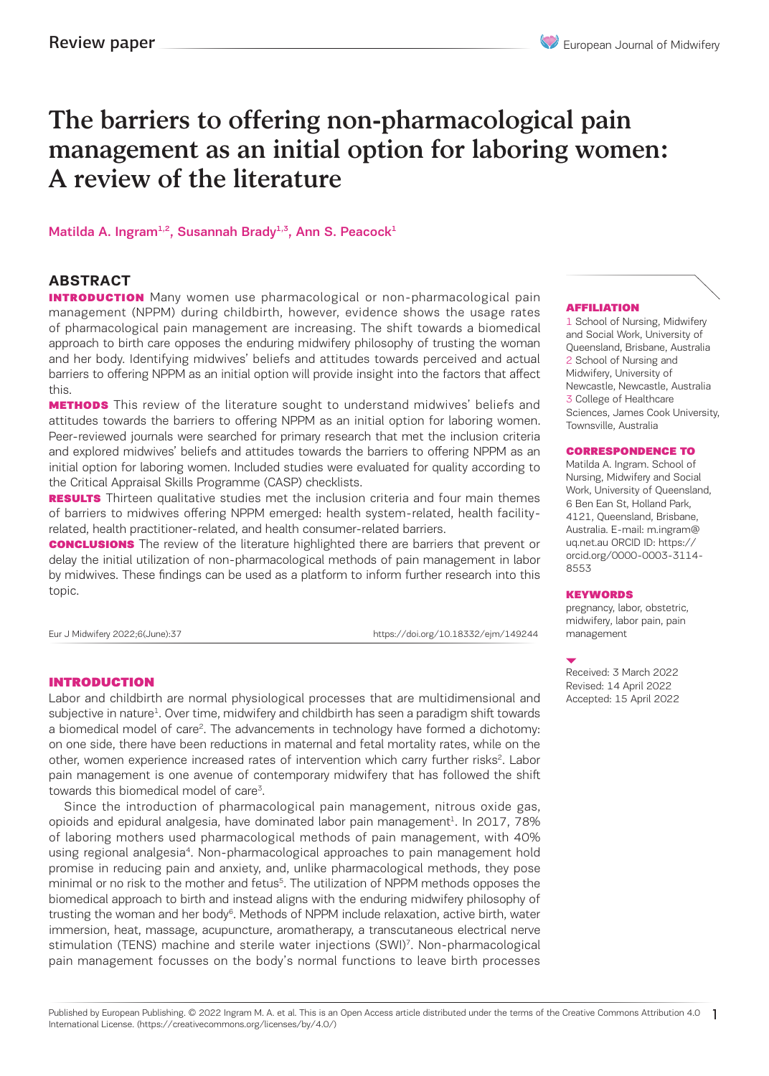# The barriers to offering non-pharmacological pain management as an initial option for laboring women: A review of the literature

#### Matilda A. Ingram<sup>1,2</sup>, Susannah Brady<sup>1,3</sup>, Ann S. Peacock<sup>1</sup>

### **ABSTRACT**

**INTRODUCTION** Many women use pharmacological or non-pharmacological pain management (NPPM) during childbirth, however, evidence shows the usage rates of pharmacological pain management are increasing. The shift towards a biomedical approach to birth care opposes the enduring midwifery philosophy of trusting the woman and her body. Identifying midwives' beliefs and attitudes towards perceived and actual barriers to offering NPPM as an initial option will provide insight into the factors that affect this.

**METHODS** This review of the literature sought to understand midwives' beliefs and attitudes towards the barriers to offering NPPM as an initial option for laboring women. Peer-reviewed journals were searched for primary research that met the inclusion criteria and explored midwives' beliefs and attitudes towards the barriers to offering NPPM as an initial option for laboring women. Included studies were evaluated for quality according to the Critical Appraisal Skills Programme (CASP) checklists.

**RESULTS** Thirteen qualitative studies met the inclusion criteria and four main themes of barriers to midwives offering NPPM emerged: health system-related, health facilityrelated, health practitioner-related, and health consumer-related barriers.

**CONCLUSIONS** The review of the literature highlighted there are barriers that prevent or delay the initial utilization of non-pharmacological methods of pain management in labor by midwives. These findings can be used as a platform to inform further research into this topic.

Eur J Midwifery 2022;6(June):37 https://doi.org/10.18332/ejm/149244

#### INTRODUCTION

Labor and childbirth are normal physiological processes that are multidimensional and subjective in nature<sup>1</sup>. Over time, midwifery and childbirth has seen a paradigm shift towards a biomedical model of care<sup>2</sup>. The advancements in technology have formed a dichotomy: on one side, there have been reductions in maternal and fetal mortality rates, while on the other, women experience increased rates of intervention which carry further risks<sup>2</sup>. Labor pain management is one avenue of contemporary midwifery that has followed the shift towards this biomedical model of care<sup>3</sup>.

Since the introduction of pharmacological pain management, nitrous oxide gas, opioids and epidural analgesia, have dominated labor pain management<sup>1</sup>. In 2017, 78% of laboring mothers used pharmacological methods of pain management, with 40% using regional analgesia4. Non-pharmacological approaches to pain management hold promise in reducing pain and anxiety, and, unlike pharmacological methods, they pose minimal or no risk to the mother and fetus<sup>5</sup>. The utilization of NPPM methods opposes the biomedical approach to birth and instead aligns with the enduring midwifery philosophy of trusting the woman and her body $6$ . Methods of NPPM include relaxation, active birth, water immersion, heat, massage, acupuncture, aromatherapy, a transcutaneous electrical nerve stimulation (TENS) machine and sterile water injections (SWI)7. Non-pharmacological pain management focusses on the body's normal functions to leave birth processes

#### AFFILIATION

1 School of Nursing, Midwifery and Social Work, University of Queensland, Brisbane, Australia 2 School of Nursing and Midwifery, University of Newcastle, Newcastle, Australia 3 College of Healthcare Sciences, James Cook University, Townsville, Australia

#### CORRESPONDENCE TO

Matilda A. Ingram. School of Nursing, Midwifery and Social Work, University of Queensland, 6 Ben Ean St, Holland Park, 4121, Queensland, Brisbane, Australia. E-mail: m.ingram@ uq.net.au ORCID ID: https:// orcid.org/0000-0003-3114- 8553

#### **KEYWORDS**

pregnancy, labor, obstetric, midwifery, labor pain, pain management

Received: 3 March 2022 Revised: 14 April 2022 Accepted: 15 April 2022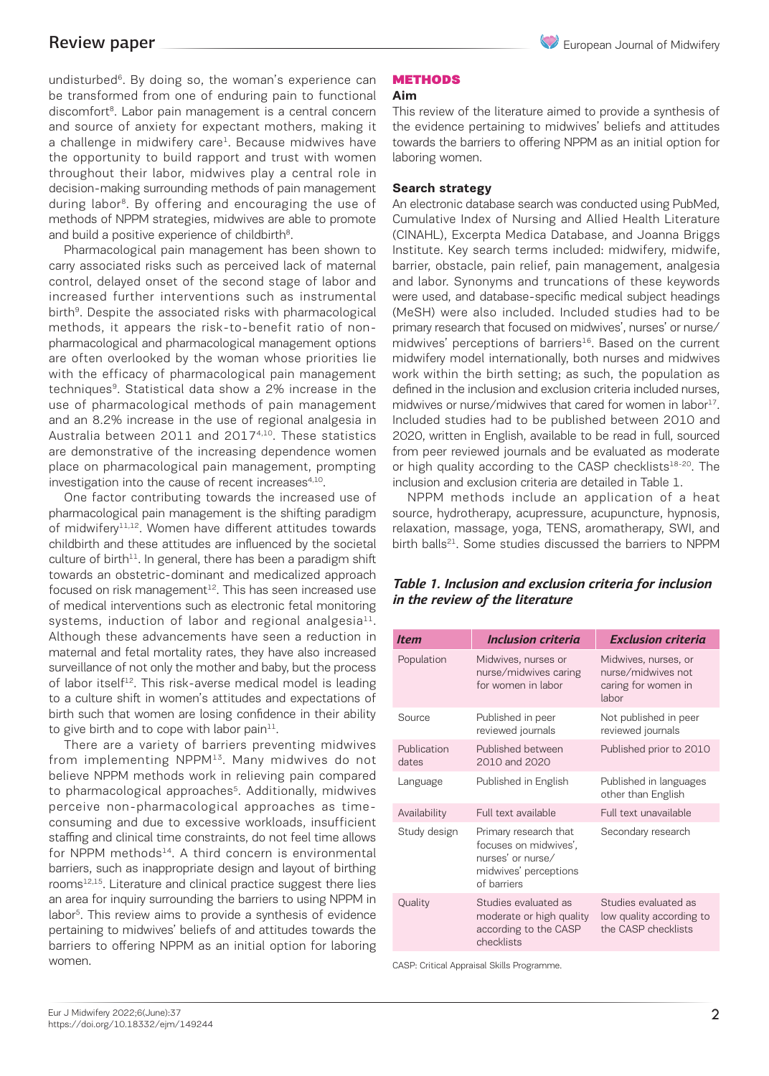undisturbed<sup>6</sup>. By doing so, the woman's experience can be transformed from one of enduring pain to functional discomfort<sup>8</sup>. Labor pain management is a central concern and source of anxiety for expectant mothers, making it a challenge in midwifery care<sup>1</sup>. Because midwives have the opportunity to build rapport and trust with women throughout their labor, midwives play a central role in decision-making surrounding methods of pain management during labor<sup>8</sup>. By offering and encouraging the use of methods of NPPM strategies, midwives are able to promote and build a positive experience of childbirth<sup>8</sup>.

Pharmacological pain management has been shown to carry associated risks such as perceived lack of maternal control, delayed onset of the second stage of labor and increased further interventions such as instrumental birth<sup>9</sup>. Despite the associated risks with pharmacological methods, it appears the risk-to-benefit ratio of nonpharmacological and pharmacological management options are often overlooked by the woman whose priorities lie with the efficacy of pharmacological pain management techniques<sup>9</sup>. Statistical data show a 2% increase in the use of pharmacological methods of pain management and an 8.2% increase in the use of regional analgesia in Australia between 2011 and 2017<sup>4,10</sup>. These statistics are demonstrative of the increasing dependence women place on pharmacological pain management, prompting investigation into the cause of recent increases<sup>4,10</sup>.

One factor contributing towards the increased use of pharmacological pain management is the shifting paradigm of midwifery<sup>11,12</sup>. Women have different attitudes towards childbirth and these attitudes are influenced by the societal culture of birth $11$ . In general, there has been a paradigm shift towards an obstetric-dominant and medicalized approach focused on risk management $12$ . This has seen increased use of medical interventions such as electronic fetal monitoring systems, induction of labor and regional analgesia $^{11}$ . Although these advancements have seen a reduction in maternal and fetal mortality rates, they have also increased surveillance of not only the mother and baby, but the process of labor itself<sup>12</sup>. This risk-averse medical model is leading to a culture shift in women's attitudes and expectations of birth such that women are losing confidence in their ability to give birth and to cope with labor pain $11$ .

There are a variety of barriers preventing midwives from implementing NPPM13. Many midwives do not believe NPPM methods work in relieving pain compared to pharmacological approaches<sup>5</sup>. Additionally, midwives perceive non-pharmacological approaches as timeconsuming and due to excessive workloads, insufficient staffing and clinical time constraints, do not feel time allows for NPPM methods $14$ . A third concern is environmental barriers, such as inappropriate design and layout of birthing rooms<sup>12,15</sup>. Literature and clinical practice suggest there lies an area for inquiry surrounding the barriers to using NPPM in labor5. This review aims to provide a synthesis of evidence pertaining to midwives' beliefs of and attitudes towards the barriers to offering NPPM as an initial option for laboring women.

# **METHODS**

**Aim**

This review of the literature aimed to provide a synthesis of the evidence pertaining to midwives' beliefs and attitudes towards the barriers to offering NPPM as an initial option for laboring women.

#### **Search strategy**

An electronic database search was conducted using PubMed, Cumulative Index of Nursing and Allied Health Literature (CINAHL), Excerpta Medica Database, and Joanna Briggs Institute. Key search terms included: midwifery, midwife, barrier, obstacle, pain relief, pain management, analgesia and labor. Synonyms and truncations of these keywords were used, and database-specific medical subject headings (MeSH) were also included. Included studies had to be primary research that focused on midwives', nurses' or nurse/ midwives' perceptions of barriers<sup>16</sup>. Based on the current midwifery model internationally, both nurses and midwives work within the birth setting; as such, the population as defined in the inclusion and exclusion criteria included nurses, midwives or nurse/midwives that cared for women in labor<sup>17</sup>. Included studies had to be published between 2010 and 2020, written in English, available to be read in full, sourced from peer reviewed journals and be evaluated as moderate or high quality according to the CASP checklists<sup>18-20</sup>. The inclusion and exclusion criteria are detailed in Table 1.

NPPM methods include an application of a heat source, hydrotherapy, acupressure, acupuncture, hypnosis, relaxation, massage, yoga, TENS, aromatherapy, SWI, and birth balls<sup>21</sup>. Some studies discussed the barriers to NPPM

### *Table 1. Inclusion and exclusion criteria for inclusion in the review of the literature*

| <b>Item</b>          | <b>Inclusion criteria</b>                                                                                   | <b>Exclusion criteria</b>                                                  |  |
|----------------------|-------------------------------------------------------------------------------------------------------------|----------------------------------------------------------------------------|--|
| Population           | Midwives, nurses or<br>nurse/midwives caring<br>for women in labor                                          | Midwives, nurses, or<br>nurse/midwives not<br>caring for women in<br>lahor |  |
| Source               | Published in peer<br>reviewed journals                                                                      | Not published in peer<br>reviewed journals                                 |  |
| Publication<br>dates | Published between<br>2010 and 2020                                                                          | Published prior to 2010                                                    |  |
| Language             | Published in English                                                                                        | Published in languages<br>other than English                               |  |
| Availability         | Full text available                                                                                         | Full text unavailable                                                      |  |
| Study design         | Primary research that<br>focuses on midwives',<br>nurses' or nurse/<br>midwives' perceptions<br>of barriers | Secondary research                                                         |  |
| Quality              | Studies evaluated as<br>moderate or high quality<br>according to the CASP<br>checklists                     | Studies evaluated as<br>low quality according to<br>the CASP checklists    |  |

CASP: Critical Appraisal Skills Programme.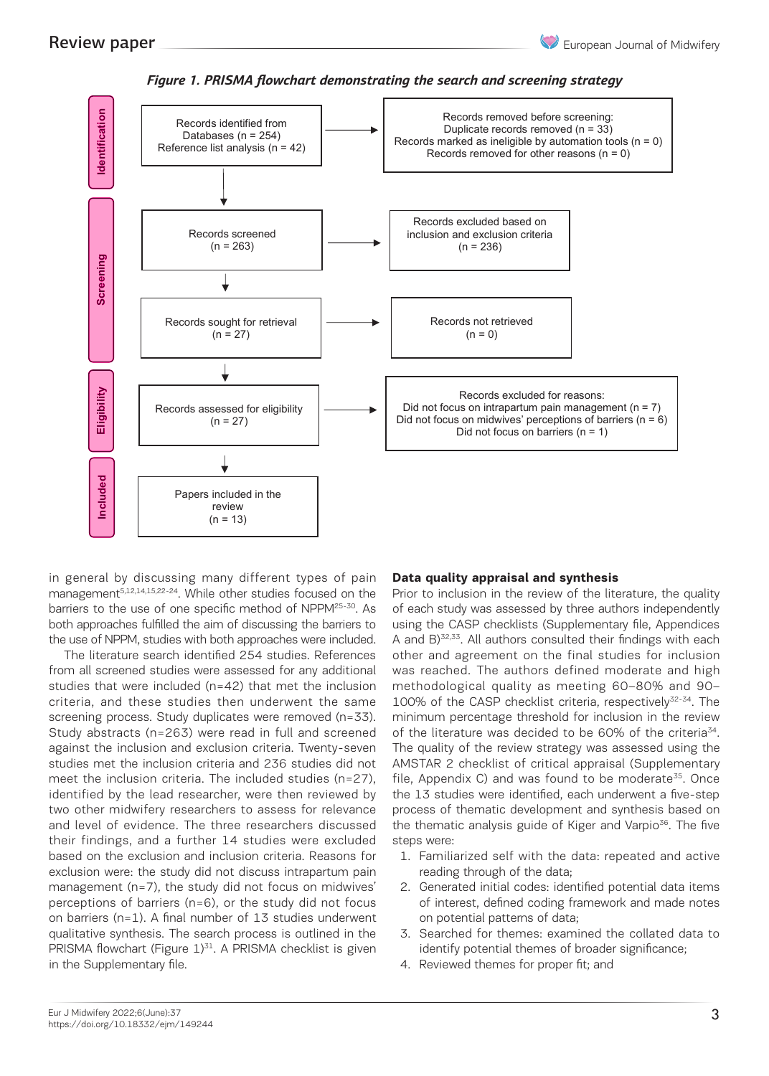

Figure 1. PRISMA flowchart demonstrating the search and screening strategy

in general by discussing many different types of pain management<sup>5,12,14,15,22-24</sup>. While other studies focused on the barriers to the use of one specific method of NPPM<sup>25-30</sup>. As the feach study was assessed by three both approaches fulfilled the aim of discussing the barriers to the use of NPPM, studies with both approaches were included. A and B)<sup>32,33</sup>. All authors consulted the US

The literature search identified 254 studies. References other and agreement on the final structure with each other hands with each other hands with each other hands with each other hands with each other hands with the fin from all screened studies were assessed for any additional studies that were included (n=42) that met the inclusion methodological quality as meetin criteria, and these studies then underwent the same criteria, and these studies then underwent the same TTOO% of the CASP checklist criteria,<br>screening process. Study duplicates were removed (n=33). T minimum percentage threshold for ii Study abstracts (n=263) were read in full and screened of the literature was decided to be 60% against the inclusion and exclusion criteria. Twenty-seven studies met the inclusion and exclusion criteria. The governance quality of the review strategy was assessed using the review strategy was assessed using the review strategy was assessed using the review strategy was asses meet the inclusion criteria. The included studies (n=27), file, Appendix C) and was found identified by the lead researcher, were then reviewed by two other midwifery researchers to assess for relevance process of thematic developmen and level of evidence. The three researchers discussed and level of evidence. The three researchers discussed the thematic analysis guide or Kig<br>their findings, and a further 14 studies were excluded steps were: based on the exclusion and inclusion criteria. Reasons for exclusion were: the study did not discuss intrapartum pain management (n=7), the study did not focus on midwives' perceptions of barriers (n=6), or the study did not focus on barriers (n=1). A final number of 13 studies underwent qualitative synthesis. The search process is outlined in the PRISMA flowchart (Figure  $1$ )<sup>31</sup>. A PRISMA checklist is given in the Supplementary file.

#### **Data quality appraisal and synthesis**

Prior to inclusion in the review of the literature, the quality of each study was assessed by three authors independently using the CASP checklists (Supplementary file, Appendices A and B)32,33. All authors consulted their findings with each other and agreement on the final studies for inclusion was reached. The authors defined moderate and high methodological quality as meeting 60–80% and 90– 100% of the CASP checklist criteria, respectively<sup>32-34</sup>. The minimum percentage threshold for inclusion in the review of the literature was decided to be 60% of the criteria<sup>34</sup>. The quality of the review strategy was assessed using the AMSTAR 2 checklist of critical appraisal (Supplementary file, Appendix C) and was found to be moderate<sup>35</sup>. Once the 13 studies were identified, each underwent a five-step process of thematic development and synthesis based on the thematic analysis guide of Kiger and Varpio<sup>36</sup>. The five steps were:

- 1. Familiarized self with the data: repeated and active reading through of the data;
- 2. Generated initial codes: identified potential data items of interest, defined coding framework and made notes on potential patterns of data;
- 3. Searched for themes: examined the collated data to identify potential themes of broader significance;
- 4. Reviewed themes for proper fit; and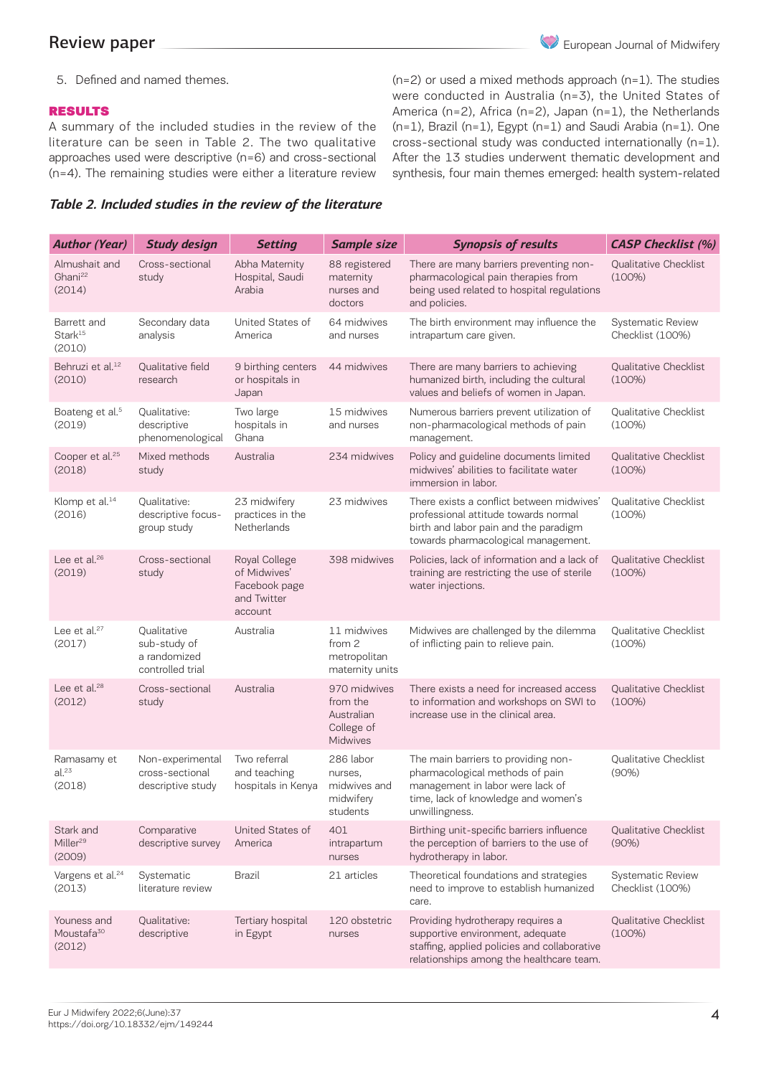5. Defined and named themes.

## RESULTS

A summary of the included studies in the review of the literature can be seen in Table 2. The two qualitative approaches used were descriptive (n=6) and cross-sectional (n=4). The remaining studies were either a literature review

 $(n=2)$  or used a mixed methods approach  $(n=1)$ . The studies were conducted in Australia (n=3), the United States of America (n=2), Africa (n=2), Japan (n=1), the Netherlands (n=1), Brazil (n=1), Egypt (n=1) and Saudi Arabia (n=1). One cross-sectional study was conducted internationally (n=1). After the 13 studies underwent thematic development and synthesis, four main themes emerged: health system-related

### *Table 2. Included studies in the review of the literature*

| <b>Author (Year)</b>                            | <b>Study design</b>                                             | <b>Setting</b>                                                           | <b>Sample size</b>                                               | <b>Synopsis of results</b>                                                                                                                                          | <b>CASP Checklist</b> (%)                    |
|-------------------------------------------------|-----------------------------------------------------------------|--------------------------------------------------------------------------|------------------------------------------------------------------|---------------------------------------------------------------------------------------------------------------------------------------------------------------------|----------------------------------------------|
| Almushait and<br>Ghani <sup>22</sup><br>(2014)  | Cross-sectional<br>study                                        | Abha Maternity<br>Hospital, Saudi<br>Arabia                              | 88 registered<br>maternity<br>nurses and<br>doctors              | There are many barriers preventing non-<br>pharmacological pain therapies from<br>being used related to hospital regulations<br>and policies.                       | Qualitative Checklist<br>$(100\%)$           |
| Barrett and<br>Stark <sup>15</sup><br>(2010)    | Secondary data<br>analysis                                      | United States of<br>America                                              | 64 midwives<br>and nurses                                        | The birth environment may influence the<br>intrapartum care given.                                                                                                  | <b>Systematic Review</b><br>Checklist (100%) |
| Behruzi et al. <sup>12</sup><br>(2010)          | Qualitative field<br>research                                   | 9 birthing centers<br>or hospitals in<br>Japan                           | 44 midwives                                                      | There are many barriers to achieving<br>humanized birth, including the cultural<br>values and beliefs of women in Japan.                                            | Qualitative Checklist<br>$(100\%)$           |
| Boateng et al. <sup>5</sup><br>(2019)           | Qualitative:<br>descriptive<br>phenomenological                 | Two large<br>hospitals in<br>Ghana                                       | 15 midwives<br>and nurses                                        | Numerous barriers prevent utilization of<br>non-pharmacological methods of pain<br>management.                                                                      | Qualitative Checklist<br>(100%)              |
| Cooper et al. <sup>25</sup><br>(2018)           | Mixed methods<br>study                                          | Australia                                                                | 234 midwives                                                     | Policy and guideline documents limited<br>midwives' abilities to facilitate water<br>immersion in labor.                                                            | Qualitative Checklist<br>(100%)              |
| Klomp et al. <sup>14</sup><br>(2016)            | Qualitative:<br>descriptive focus-<br>group study               | 23 midwifery<br>practices in the<br>Netherlands                          | 23 midwives                                                      | There exists a conflict between midwives'<br>professional attitude towards normal<br>birth and labor pain and the paradigm<br>towards pharmacological management.   | Qualitative Checklist<br>(100%)              |
| Lee et al. $26$<br>(2019)                       | Cross-sectional<br>study                                        | Royal College<br>of Midwives'<br>Facebook page<br>and Twitter<br>account | 398 midwives                                                     | Policies, lack of information and a lack of<br>training are restricting the use of sterile<br>water injections.                                                     | Qualitative Checklist<br>$(100\%)$           |
| Lee et al. <sup>27</sup><br>(2017)              | Oualitative<br>sub-study of<br>a randomized<br>controlled trial | Australia                                                                | 11 midwives<br>from 2<br>metropolitan<br>maternity units         | Midwives are challenged by the dilemma<br>of inflicting pain to relieve pain.                                                                                       | Qualitative Checklist<br>(100%)              |
| Lee et al. <sup>28</sup><br>(2012)              | Cross-sectional<br>study                                        | Australia                                                                | 970 midwives<br>from the<br>Australian<br>College of<br>Midwives | There exists a need for increased access<br>to information and workshops on SWI to<br>increase use in the clinical area.                                            | Qualitative Checklist<br>$(100\%)$           |
| Ramasamy et<br>al. <sup>23</sup><br>(2018)      | Non-experimental<br>cross-sectional<br>descriptive study        | Two referral<br>and teaching<br>hospitals in Kenya                       | 286 labor<br>nurses,<br>midwives and<br>midwifery<br>students    | The main barriers to providing non-<br>pharmacological methods of pain<br>management in labor were lack of<br>time, lack of knowledge and women's<br>unwillingness. | Qualitative Checklist<br>$(90\%)$            |
| Stark and<br>Miller <sup>29</sup><br>(2009)     | Comparative<br>descriptive survey                               | United States of<br>America                                              | 401<br>intrapartum<br>nurses                                     | Birthing unit-specific barriers influence<br>the perception of barriers to the use of<br>hydrotherapy in labor.                                                     | Qualitative Checklist<br>(90%)               |
| Vargens et al. <sup>24</sup><br>(2013)          | Systematic<br>literature review                                 | Brazil                                                                   | 21 articles                                                      | Theoretical foundations and strategies<br>need to improve to establish humanized<br>care.                                                                           | <b>Systematic Review</b><br>Checklist (100%) |
| Youness and<br>Moustafa <sup>30</sup><br>(2012) | Qualitative:<br>descriptive                                     | Tertiary hospital<br>in Egypt                                            | 120 obstetric<br>nurses                                          | Providing hydrotherapy requires a<br>supportive environment, adequate<br>staffing, applied policies and collaborative<br>relationships among the healthcare team.   | Qualitative Checklist<br>$(100\%)$           |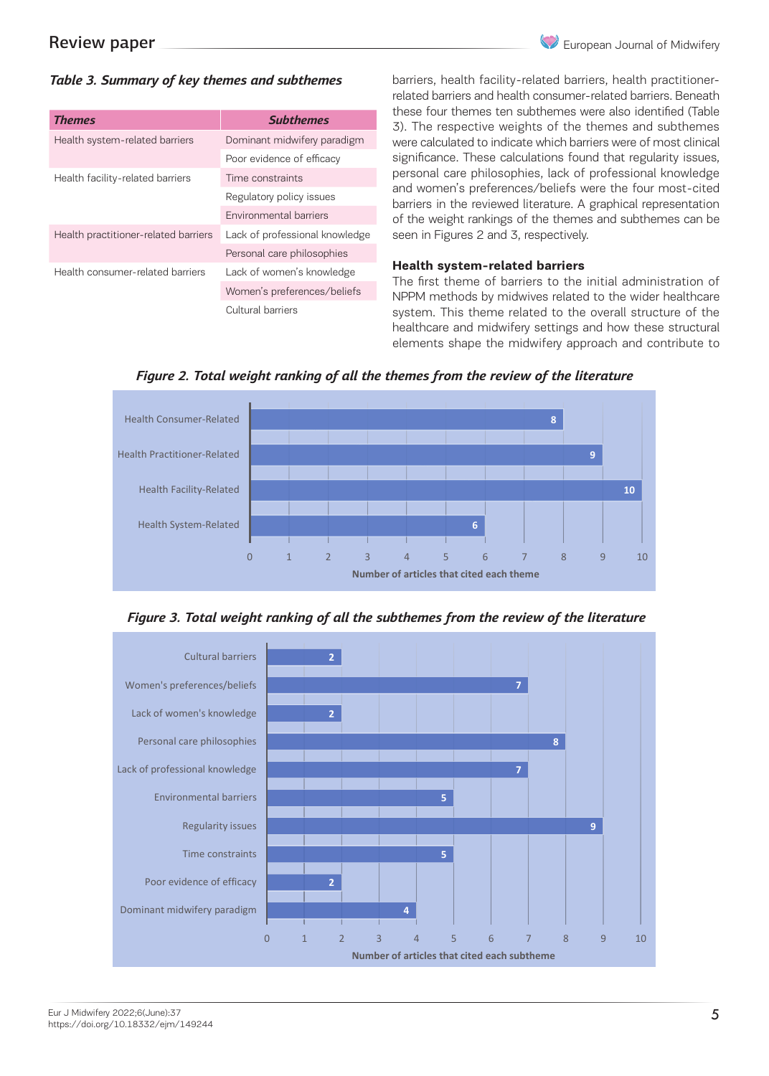# *Table 3. Summary of key themes and subthemes*

| <b>Themes</b>                        | <b>Subthemes</b>               |  |
|--------------------------------------|--------------------------------|--|
| Health system-related barriers       | Dominant midwifery paradigm    |  |
|                                      | Poor evidence of efficacy      |  |
| Health facility-related barriers     | Time constraints               |  |
|                                      | Regulatory policy issues       |  |
|                                      | Environmental barriers         |  |
| Health practitioner-related barriers | Lack of professional knowledge |  |
|                                      | Personal care philosophies     |  |
| Health consumer-related barriers     | Lack of women's knowledge      |  |
|                                      | Women's preferences/beliefs    |  |
|                                      | Cultural barriers              |  |

barriers, health facility-related barriers, health practitionerrelated barriers and health consumer-related barriers. Beneath these four themes ten subthemes were also identified (Table 3). The respective weights of the themes and subthemes were calculated to indicate which barriers were of most clinical significance. These calculations found that regularity issues, personal care philosophies, lack of professional knowledge and women's preferences/beliefs were the four most-cited barriers in the reviewed literature. A graphical representation of the weight rankings of the themes and subthemes can be seen in Figures 2 and 3, respectively.

#### **Health system-related barriers**

The first theme of barriers to the initial administration of NPPM methods by midwives related to the wider healthcare system. This theme related to the overall structure of the healthcare and midwifery settings and how these structural healthcare and midwifery settings and how these structural elements shape the midwifery approach and contribute to

*Figure 2. Total weight ranking of all the themes from the review of the literature*



 *Figure 3. Total weight ranking of all the subthemes from the review of the literature* 

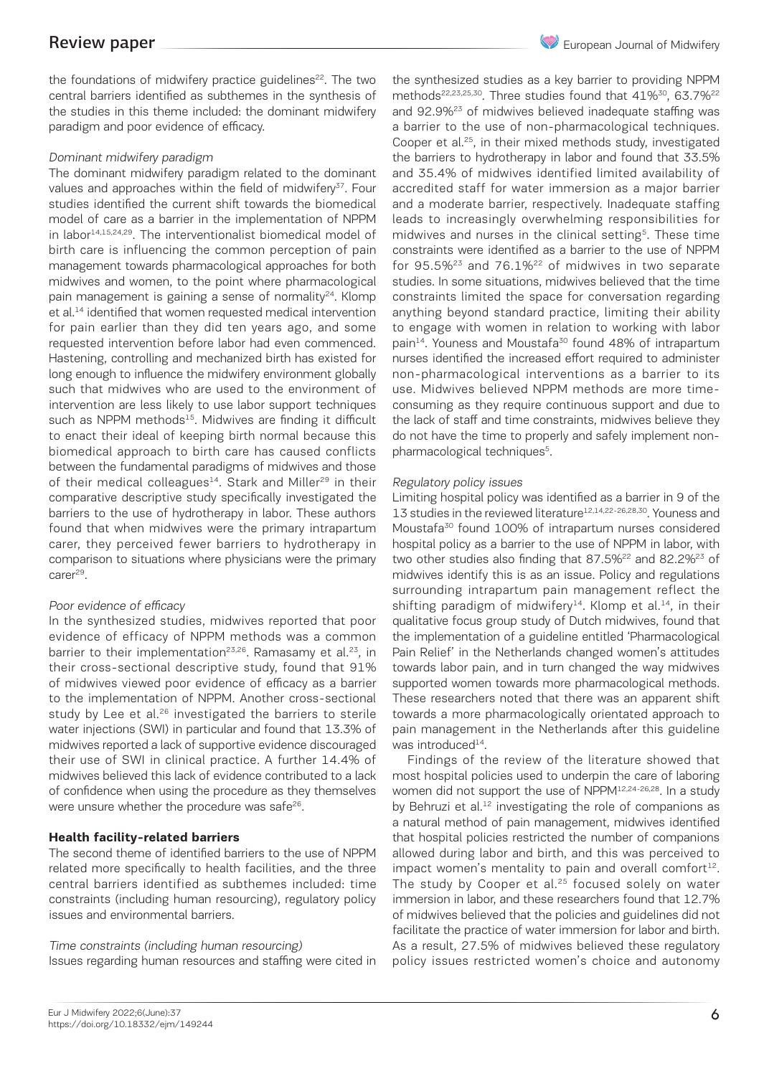European Journal of Midwifery

the foundations of midwifery practice guidelines<sup>22</sup>. The two central barriers identified as subthemes in the synthesis of the studies in this theme included: the dominant midwifery paradigm and poor evidence of efficacy.

### Dominant midwifery paradigm

The dominant midwifery paradigm related to the dominant values and approaches within the field of midwifery<sup>37</sup>. Four studies identified the current shift towards the biomedical model of care as a barrier in the implementation of NPPM in labor<sup>14,15,24,29</sup>. The interventionalist biomedical model of birth care is influencing the common perception of pain management towards pharmacological approaches for both midwives and women, to the point where pharmacological pain management is gaining a sense of normality<sup>24</sup>. Klomp et al.<sup>14</sup> identified that women requested medical intervention for pain earlier than they did ten years ago, and some requested intervention before labor had even commenced. Hastening, controlling and mechanized birth has existed for long enough to influence the midwifery environment globally such that midwives who are used to the environment of intervention are less likely to use labor support techniques such as NPPM methods<sup>15</sup>. Midwives are finding it difficult to enact their ideal of keeping birth normal because this biomedical approach to birth care has caused conflicts between the fundamental paradigms of midwives and those of their medical colleagues<sup>14</sup>. Stark and Miller<sup>29</sup> in their comparative descriptive study specifically investigated the barriers to the use of hydrotherapy in labor. These authors found that when midwives were the primary intrapartum carer, they perceived fewer barriers to hydrotherapy in comparison to situations where physicians were the primary carer<sup>29</sup>.

### Poor evidence of efficacy

In the synthesized studies, midwives reported that poor evidence of efficacy of NPPM methods was a common barrier to their implementation<sup>23,26</sup>. Ramasamy et al.<sup>23</sup>, in their cross-sectional descriptive study, found that 91% of midwives viewed poor evidence of efficacy as a barrier to the implementation of NPPM. Another cross-sectional study by Lee et al.<sup>26</sup> investigated the barriers to sterile water injections (SWI) in particular and found that 13.3% of midwives reported a lack of supportive evidence discouraged their use of SWI in clinical practice. A further 14.4% of midwives believed this lack of evidence contributed to a lack of confidence when using the procedure as they themselves were unsure whether the procedure was safe<sup>26</sup>.

### **Health facility-related barriers**

The second theme of identified barriers to the use of NPPM related more specifically to health facilities, and the three central barriers identified as subthemes included: time constraints (including human resourcing), regulatory policy issues and environmental barriers.

### Time constraints (including human resourcing)

Issues regarding human resources and staffing were cited in

the synthesized studies as a key barrier to providing NPPM methods<sup>22,23,25,30</sup>. Three studies found that 41%<sup>30</sup>, 63.7%<sup>22</sup> and 92.9%23 of midwives believed inadequate staffing was a barrier to the use of non-pharmacological techniques. Cooper et al.25, in their mixed methods study, investigated the barriers to hydrotherapy in labor and found that 33.5% and 35.4% of midwives identified limited availability of accredited staff for water immersion as a major barrier and a moderate barrier, respectively. Inadequate staffing leads to increasingly overwhelming responsibilities for midwives and nurses in the clinical setting<sup>5</sup>. These time constraints were identified as a barrier to the use of NPPM for  $95.5\%^{23}$  and  $76.1\%^{22}$  of midwives in two separate studies. In some situations, midwives believed that the time constraints limited the space for conversation regarding anything beyond standard practice, limiting their ability to engage with women in relation to working with labor pain<sup>14</sup>. Youness and Moustafa<sup>30</sup> found 48% of intrapartum nurses identified the increased effort required to administer non-pharmacological interventions as a barrier to its use. Midwives believed NPPM methods are more timeconsuming as they require continuous support and due to the lack of staff and time constraints, midwives believe they do not have the time to properly and safely implement nonpharmacological techniques<sup>5</sup>.

#### Regulatory policy issues

Limiting hospital policy was identified as a barrier in 9 of the 13 studies in the reviewed literature<sup>12,14,22-26,28,30</sup>. Youness and Moustafa30 found 100% of intrapartum nurses considered hospital policy as a barrier to the use of NPPM in labor, with two other studies also finding that 87.5%<sup>22</sup> and 82.2%<sup>23</sup> of midwives identify this is as an issue. Policy and regulations surrounding intrapartum pain management reflect the shifting paradigm of midwifery<sup>14</sup>. Klomp et al.<sup>14</sup>, in their qualitative focus group study of Dutch midwives, found that the implementation of a guideline entitled 'Pharmacological Pain Relief' in the Netherlands changed women's attitudes towards labor pain, and in turn changed the way midwives supported women towards more pharmacological methods. These researchers noted that there was an apparent shift towards a more pharmacologically orientated approach to pain management in the Netherlands after this guideline was introduced<sup>14</sup>.

Findings of the review of the literature showed that most hospital policies used to underpin the care of laboring women did not support the use of NPPM12,24-26,28. In a study by Behruzi et al. $12$  investigating the role of companions as a natural method of pain management, midwives identified that hospital policies restricted the number of companions allowed during labor and birth, and this was perceived to impact women's mentality to pain and overall comfort $12$ . The study by Cooper et al.<sup>25</sup> focused solely on water immersion in labor, and these researchers found that 12.7% of midwives believed that the policies and guidelines did not facilitate the practice of water immersion for labor and birth. As a result, 27.5% of midwives believed these regulatory policy issues restricted women's choice and autonomy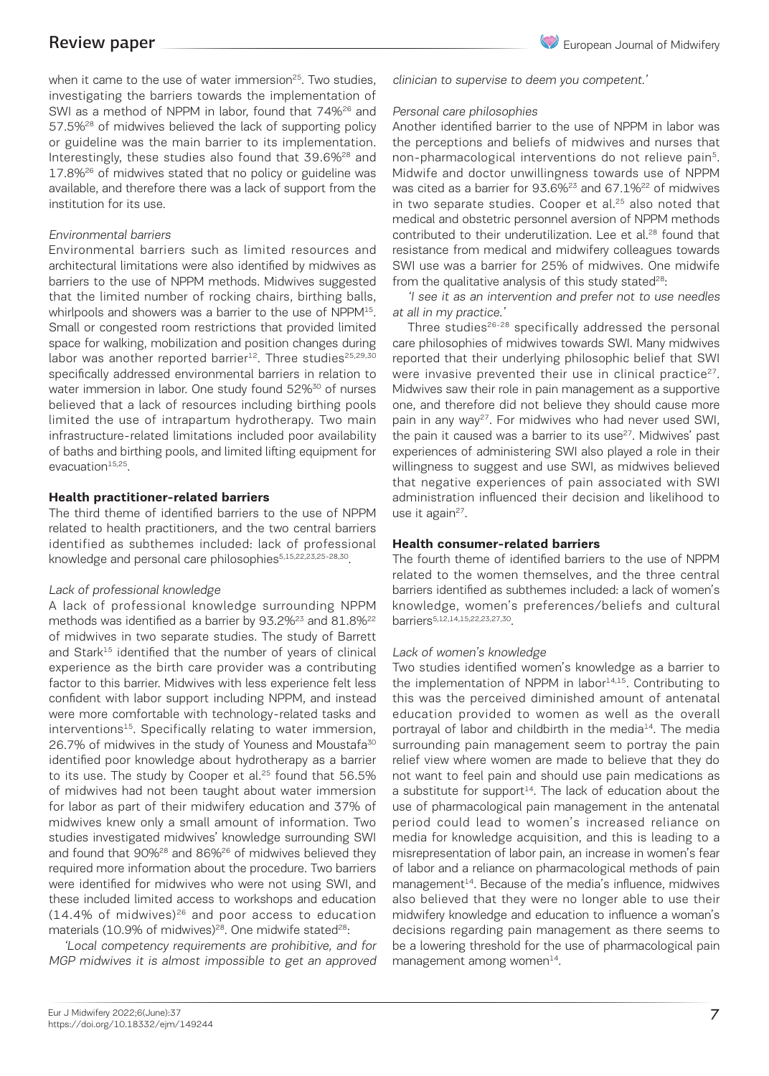when it came to the use of water immersion<sup>25</sup>. Two studies, investigating the barriers towards the implementation of SWI as a method of NPPM in labor, found that 74%<sup>26</sup> and 57.5%<sup>28</sup> of midwives believed the lack of supporting policy or guideline was the main barrier to its implementation. Interestingly, these studies also found that 39.6%<sup>28</sup> and 17.8%<sup>26</sup> of midwives stated that no policy or guideline was available, and therefore there was a lack of support from the institution for its use.

#### Environmental barriers

Environmental barriers such as limited resources and architectural limitations were also identified by midwives as barriers to the use of NPPM methods. Midwives suggested that the limited number of rocking chairs, birthing balls, whirlpools and showers was a barrier to the use of NPPM<sup>15</sup>. Small or congested room restrictions that provided limited space for walking, mobilization and position changes during labor was another reported barrier<sup>12</sup>. Three studies<sup>25,29,30</sup> specifically addressed environmental barriers in relation to water immersion in labor. One study found 52%<sup>30</sup> of nurses believed that a lack of resources including birthing pools limited the use of intrapartum hydrotherapy. Two main infrastructure-related limitations included poor availability of baths and birthing pools, and limited lifting equipment for evacuation $15,25$ .

#### **Health practitioner-related barriers**

The third theme of identified barriers to the use of NPPM related to health practitioners, and the two central barriers identified as subthemes included: lack of professional knowledge and personal care philosophies<sup>5,15,22,23,25-28,30</sup>.

#### Lack of professional knowledge

A lack of professional knowledge surrounding NPPM methods was identified as a barrier by 93.2%<sup>23</sup> and 81.8%<sup>22</sup> of midwives in two separate studies. The study of Barrett and Stark<sup>15</sup> identified that the number of years of clinical experience as the birth care provider was a contributing factor to this barrier. Midwives with less experience felt less confident with labor support including NPPM, and instead were more comfortable with technology-related tasks and interventions<sup>15</sup>. Specifically relating to water immersion, 26.7% of midwives in the study of Youness and Moustafa<sup>30</sup> identified poor knowledge about hydrotherapy as a barrier to its use. The study by Cooper et al. $25$  found that 56.5% of midwives had not been taught about water immersion for labor as part of their midwifery education and 37% of midwives knew only a small amount of information. Two studies investigated midwives' knowledge surrounding SWI and found that 90%<sup>28</sup> and 86%<sup>26</sup> of midwives believed they required more information about the procedure. Two barriers were identified for midwives who were not using SWI, and these included limited access to workshops and education  $(14.4\%$  of midwives)<sup>26</sup> and poor access to education materials (10.9% of midwives)<sup>28</sup>. One midwife stated<sup>28</sup>:

'Local competency requirements are prohibitive, and for MGP midwives it is almost impossible to get an approved clinician to supervise to deem you competent.'

#### Personal care philosophies

Another identified barrier to the use of NPPM in labor was the perceptions and beliefs of midwives and nurses that non-pharmacological interventions do not relieve pain5. Midwife and doctor unwillingness towards use of NPPM was cited as a barrier for 93.6%23 and 67.1%22 of midwives in two separate studies. Cooper et al. $25$  also noted that medical and obstetric personnel aversion of NPPM methods contributed to their underutilization. Lee et al.<sup>28</sup> found that resistance from medical and midwifery colleagues towards SWI use was a barrier for 25% of midwives. One midwife from the qualitative analysis of this study stated $28$ :

'I see it as an intervention and prefer not to use needles at all in my practice.'

Three studies<sup>26-28</sup> specifically addressed the personal care philosophies of midwives towards SWI. Many midwives reported that their underlying philosophic belief that SWI were invasive prevented their use in clinical practice<sup>27</sup>. Midwives saw their role in pain management as a supportive one, and therefore did not believe they should cause more pain in any way<sup>27</sup>. For midwives who had never used SWI, the pain it caused was a barrier to its use $27$ . Midwives' past experiences of administering SWI also played a role in their willingness to suggest and use SWI, as midwives believed that negative experiences of pain associated with SWI administration influenced their decision and likelihood to use it again $27$ .

#### **Health consumer-related barriers**

The fourth theme of identified barriers to the use of NPPM related to the women themselves, and the three central barriers identified as subthemes included: a lack of women's knowledge, women's preferences/beliefs and cultural barriers5,12,14,15,22,23,27,30.

### Lack of women's knowledge

Two studies identified women's knowledge as a barrier to the implementation of NPPM in labor $14,15$ . Contributing to this was the perceived diminished amount of antenatal education provided to women as well as the overall portrayal of labor and childbirth in the media<sup>14</sup>. The media surrounding pain management seem to portray the pain relief view where women are made to believe that they do not want to feel pain and should use pain medications as a substitute for support $14$ . The lack of education about the use of pharmacological pain management in the antenatal period could lead to women's increased reliance on media for knowledge acquisition, and this is leading to a misrepresentation of labor pain, an increase in women's fear of labor and a reliance on pharmacological methods of pain management<sup>14</sup>. Because of the media's influence, midwives also believed that they were no longer able to use their midwifery knowledge and education to influence a woman's decisions regarding pain management as there seems to be a lowering threshold for the use of pharmacological pain management among women $^{14}$ .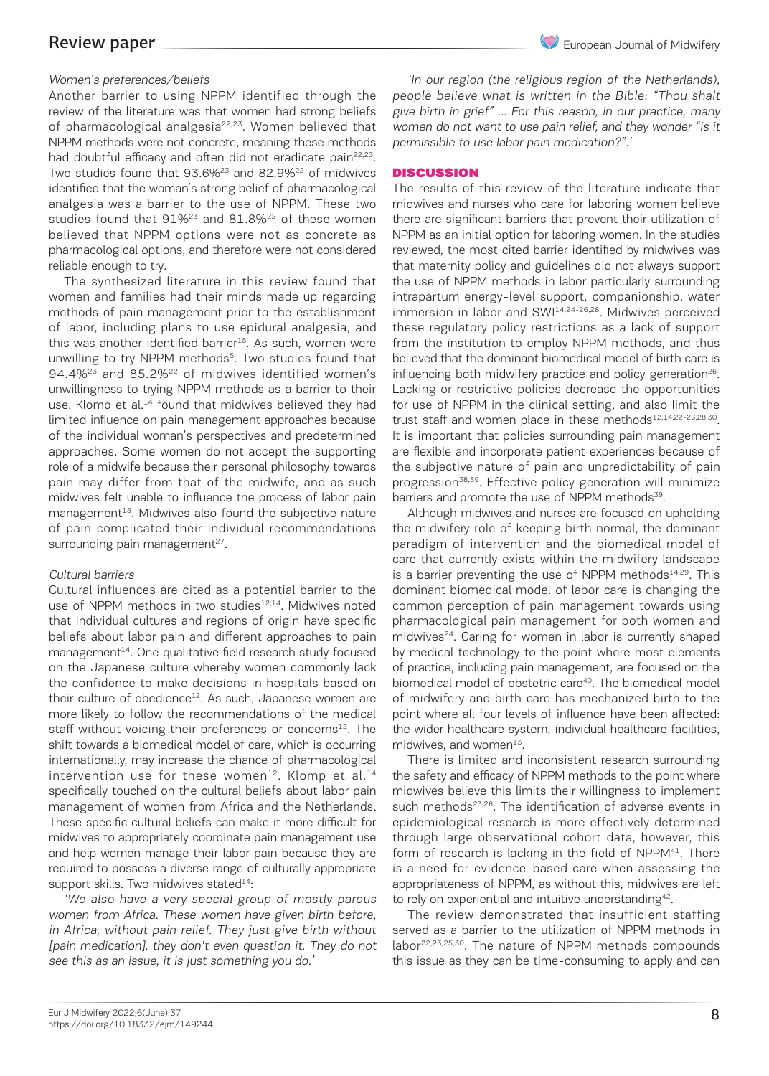Another barrier to using NPPM identified through the review of the literature was that women had strong beliefs of pharmacological analgesia<sup>22,23</sup>. Women believed that NPPM methods were not concrete, meaning these methods had doubtful efficacy and often did not eradicate pain<sup>22,23</sup>. Two studies found that 93.6%<sup>23</sup> and 82.9%<sup>22</sup> of midwives identified that the woman's strong belief of pharmacological analgesia was a barrier to the use of NPPM. These two studies found that  $91\%^{23}$  and  $81.8\%^{22}$  of these women believed that NPPM options were not as concrete as pharmacological options, and therefore were not considered reliable enough to try.

The synthesized literature in this review found that women and families had their minds made up regarding methods of pain management prior to the establishment of labor, including plans to use epidural analgesia, and this was another identified barrier<sup>15</sup>. As such, women were unwilling to try NPPM methods<sup>5</sup>. Two studies found that 94.4%<sup>23</sup> and 85.2%<sup>22</sup> of midwives identified women's unwillingness to trying NPPM methods as a barrier to their use. Klomp et al.<sup>14</sup> found that midwives believed they had limited influence on pain management approaches because of the individual woman's perspectives and predetermined approaches. Some women do not accept the supporting role of a midwife because their personal philosophy towards pain may differ from that of the midwife, and as such midwives felt unable to influence the process of labor pain management $15$ . Midwives also found the subjective nature of pain complicated their individual recommendations surrounding pain management $27$ .

#### Cultural barriers

Cultural influences are cited as a potential barrier to the use of NPPM methods in two studies<sup>12,14</sup>. Midwives noted that individual cultures and regions of origin have specific beliefs about labor pain and different approaches to pain  $m$ anagement<sup>14</sup>. One qualitative field research study focused on the Japanese culture whereby women commonly lack the confidence to make decisions in hospitals based on their culture of obedience $12$ . As such, Japanese women are more likely to follow the recommendations of the medical staff without voicing their preferences or concerns<sup>12</sup>. The shift towards a biomedical model of care, which is occurring internationally, may increase the chance of pharmacological intervention use for these women<sup>12</sup>. Klomp et al.<sup>14</sup> specifically touched on the cultural beliefs about labor pain management of women from Africa and the Netherlands. These specific cultural beliefs can make it more difficult for midwives to appropriately coordinate pain management use and help women manage their labor pain because they are required to possess a diverse range of culturally appropriate support skills. Two midwives stated $14$ :

'We also have a very special group of mostly parous women from Africa. These women have given birth before, in Africa, without pain relief. They just give birth without [pain medication], they don't even question it. They do not see this as an issue, it is just something you do.'

'In our region (the religious region of the Netherlands), people believe what is written in the Bible: "Thou shalt give birth in grief" … For this reason, in our practice, many women do not want to use pain relief, and they wonder "is it permissible to use labor pain medication?".'

#### **DISCUSSION**

The results of this review of the literature indicate that midwives and nurses who care for laboring women believe there are significant barriers that prevent their utilization of NPPM as an initial option for laboring women. In the studies reviewed, the most cited barrier identified by midwives was that maternity policy and guidelines did not always support the use of NPPM methods in labor particularly surrounding intrapartum energy-level support, companionship, water immersion in labor and SWI<sup>14,24-26,28</sup>. Midwives perceived these regulatory policy restrictions as a lack of support from the institution to employ NPPM methods, and thus believed that the dominant biomedical model of birth care is influencing both midwifery practice and policy generation<sup>26</sup>. Lacking or restrictive policies decrease the opportunities for use of NPPM in the clinical setting, and also limit the trust staff and women place in these methods<sup>12,14,22-26,28,30</sup>. It is important that policies surrounding pain management are flexible and incorporate patient experiences because of the subjective nature of pain and unpredictability of pain progression<sup>38,39</sup>. Effective policy generation will minimize barriers and promote the use of NPPM methods<sup>39</sup>.

Although midwives and nurses are focused on upholding the midwifery role of keeping birth normal, the dominant paradigm of intervention and the biomedical model of care that currently exists within the midwifery landscape is a barrier preventing the use of NPPM methods $14,29$ . This dominant biomedical model of labor care is changing the common perception of pain management towards using pharmacological pain management for both women and midwives<sup>24</sup>. Caring for women in labor is currently shaped by medical technology to the point where most elements of practice, including pain management, are focused on the biomedical model of obstetric care<sup>40</sup>. The biomedical model of midwifery and birth care has mechanized birth to the point where all four levels of influence have been affected: the wider healthcare system, individual healthcare facilities, midwives, and women $^{13}$ .

There is limited and inconsistent research surrounding the safety and efficacy of NPPM methods to the point where midwives believe this limits their willingness to implement such methods<sup>23,26</sup>. The identification of adverse events in epidemiological research is more effectively determined through large observational cohort data, however, this form of research is lacking in the field of NPPM<sup>41</sup>. There is a need for evidence-based care when assessing the appropriateness of NPPM, as without this, midwives are left to rely on experiential and intuitive understanding<sup>42</sup>.

The review demonstrated that insufficient staffing served as a barrier to the utilization of NPPM methods in labor22,23,25,30. The nature of NPPM methods compounds this issue as they can be time-consuming to apply and can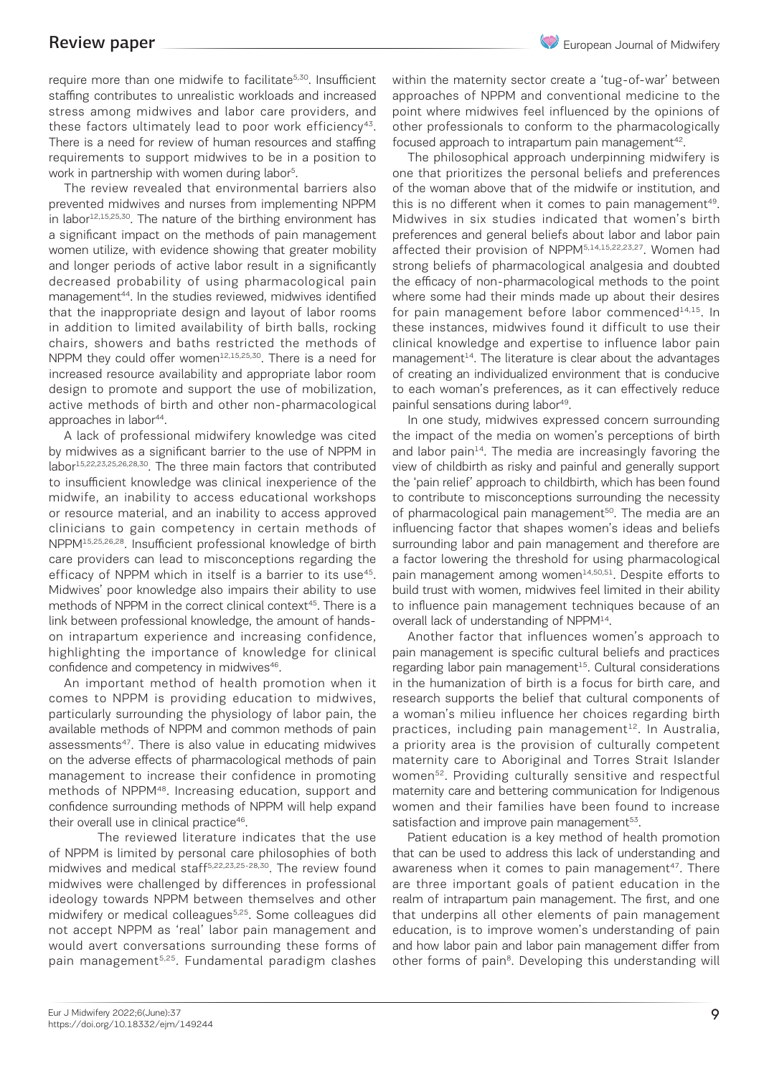require more than one midwife to facilitate<sup>5,30</sup>. Insufficient staffing contributes to unrealistic workloads and increased stress among midwives and labor care providers, and these factors ultimately lead to poor work efficiency<sup>43</sup>. There is a need for review of human resources and staffing requirements to support midwives to be in a position to work in partnership with women during labor<sup>5</sup>.

The review revealed that environmental barriers also prevented midwives and nurses from implementing NPPM in labor<sup>12,15,25,30</sup>. The nature of the birthing environment has a significant impact on the methods of pain management women utilize, with evidence showing that greater mobility and longer periods of active labor result in a significantly decreased probability of using pharmacological pain management<sup>44</sup>. In the studies reviewed, midwives identified that the inappropriate design and layout of labor rooms in addition to limited availability of birth balls, rocking chairs, showers and baths restricted the methods of NPPM they could offer women $12,15,25,30$ . There is a need for increased resource availability and appropriate labor room design to promote and support the use of mobilization, active methods of birth and other non-pharmacological approaches in labor<sup>44</sup>.

A lack of professional midwifery knowledge was cited by midwives as a significant barrier to the use of NPPM in labor15,22,23,25,26,28,30. The three main factors that contributed to insufficient knowledge was clinical inexperience of the midwife, an inability to access educational workshops or resource material, and an inability to access approved clinicians to gain competency in certain methods of NPPM15,25,26,28. Insufficient professional knowledge of birth care providers can lead to misconceptions regarding the efficacy of NPPM which in itself is a barrier to its use<sup>45</sup>. Midwives' poor knowledge also impairs their ability to use methods of NPPM in the correct clinical context<sup>45</sup>. There is a link between professional knowledge, the amount of handson intrapartum experience and increasing confidence, highlighting the importance of knowledge for clinical confidence and competency in midwives<sup>46</sup>.

An important method of health promotion when it comes to NPPM is providing education to midwives, particularly surrounding the physiology of labor pain, the available methods of NPPM and common methods of pain assessments<sup>47</sup>. There is also value in educating midwives on the adverse effects of pharmacological methods of pain management to increase their confidence in promoting methods of NPPM48. Increasing education, support and confidence surrounding methods of NPPM will help expand their overall use in clinical practice<sup>46</sup>.

The reviewed literature indicates that the use of NPPM is limited by personal care philosophies of both midwives and medical staff5,22,23,25-28,30. The review found midwives were challenged by differences in professional ideology towards NPPM between themselves and other midwifery or medical colleagues<sup>5,25</sup>. Some colleagues did not accept NPPM as 'real' labor pain management and would avert conversations surrounding these forms of pain management<sup>5,25</sup>. Fundamental paradigm clashes

within the maternity sector create a 'tug-of-war' between approaches of NPPM and conventional medicine to the point where midwives feel influenced by the opinions of other professionals to conform to the pharmacologically focused approach to intrapartum pain management<sup>42</sup>.

The philosophical approach underpinning midwifery is one that prioritizes the personal beliefs and preferences of the woman above that of the midwife or institution, and this is no different when it comes to pain management<sup>49</sup>. Midwives in six studies indicated that women's birth preferences and general beliefs about labor and labor pain affected their provision of NPPM5,14,15,22,23,27. Women had strong beliefs of pharmacological analgesia and doubted the efficacy of non-pharmacological methods to the point where some had their minds made up about their desires for pain management before labor commenced $14,15$ . In these instances, midwives found it difficult to use their clinical knowledge and expertise to influence labor pain  $m$ anagement $14$ . The literature is clear about the advantages of creating an individualized environment that is conducive to each woman's preferences, as it can effectively reduce painful sensations during labor<sup>49</sup>.

In one study, midwives expressed concern surrounding the impact of the media on women's perceptions of birth and labor pain $14$ . The media are increasingly favoring the view of childbirth as risky and painful and generally support the 'pain relief' approach to childbirth, which has been found to contribute to misconceptions surrounding the necessity of pharmacological pain management<sup>50</sup>. The media are an influencing factor that shapes women's ideas and beliefs surrounding labor and pain management and therefore are a factor lowering the threshold for using pharmacological pain management among women<sup>14,50,51</sup>. Despite efforts to build trust with women, midwives feel limited in their ability to influence pain management techniques because of an overall lack of understanding of NPPM<sup>14</sup>.

Another factor that influences women's approach to pain management is specific cultural beliefs and practices regarding labor pain management $15$ . Cultural considerations in the humanization of birth is a focus for birth care, and research supports the belief that cultural components of a woman's milieu influence her choices regarding birth practices, including pain management $12$ . In Australia, a priority area is the provision of culturally competent maternity care to Aboriginal and Torres Strait Islander women<sup>52</sup>. Providing culturally sensitive and respectful maternity care and bettering communication for Indigenous women and their families have been found to increase satisfaction and improve pain management<sup>53</sup>.

Patient education is a key method of health promotion that can be used to address this lack of understanding and awareness when it comes to pain management<sup>47</sup>. There are three important goals of patient education in the realm of intrapartum pain management. The first, and one that underpins all other elements of pain management education, is to improve women's understanding of pain and how labor pain and labor pain management differ from other forms of pain<sup>8</sup>. Developing this understanding will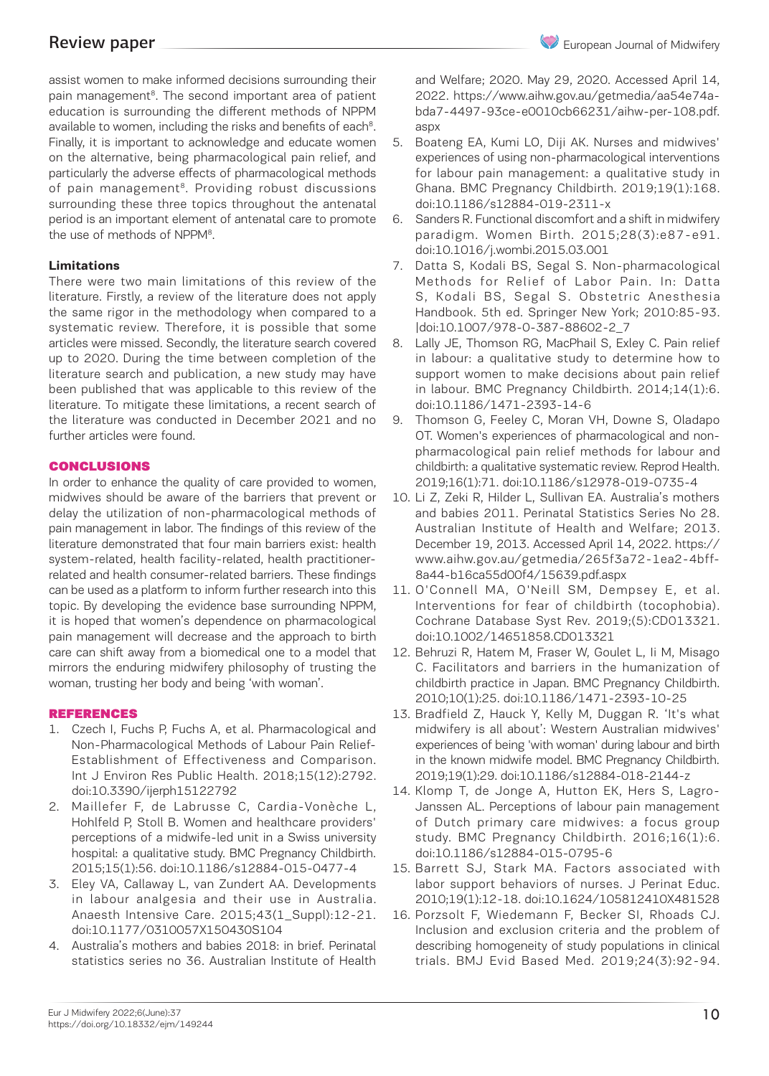assist women to make informed decisions surrounding their pain management<sup>8</sup>. The second important area of patient education is surrounding the different methods of NPPM available to women, including the risks and benefits of each<sup>8</sup>. Finally, it is important to acknowledge and educate women on the alternative, being pharmacological pain relief, and particularly the adverse effects of pharmacological methods of pain management<sup>8</sup>. Providing robust discussions surrounding these three topics throughout the antenatal period is an important element of antenatal care to promote the use of methods of NPPM<sup>8</sup>.

### **Limitations**

There were two main limitations of this review of the literature. Firstly, a review of the literature does not apply the same rigor in the methodology when compared to a systematic review. Therefore, it is possible that some articles were missed. Secondly, the literature search covered up to 2020. During the time between completion of the literature search and publication, a new study may have been published that was applicable to this review of the literature. To mitigate these limitations, a recent search of the literature was conducted in December 2021 and no further articles were found.

### CONCLUSIONS

In order to enhance the quality of care provided to women, midwives should be aware of the barriers that prevent or delay the utilization of non-pharmacological methods of pain management in labor. The findings of this review of the literature demonstrated that four main barriers exist: health system-related, health facility-related, health practitionerrelated and health consumer-related barriers. These findings can be used as a platform to inform further research into this topic. By developing the evidence base surrounding NPPM, it is hoped that women's dependence on pharmacological pain management will decrease and the approach to birth care can shift away from a biomedical one to a model that mirrors the enduring midwifery philosophy of trusting the woman, trusting her body and being 'with woman'.

### REFERENCES

- 1. Czech I, Fuchs P, Fuchs A, et al. Pharmacological and Non-Pharmacological Methods of Labour Pain Relief-Establishment of Effectiveness and Comparison. Int J Environ Res Public Health. 2018;15(12):2792. doi:10.3390/ijerph15122792
- 2. Maillefer F, de Labrusse C, Cardia-Vonèche L, Hohlfeld P, Stoll B. Women and healthcare providers' perceptions of a midwife-led unit in a Swiss university hospital: a qualitative study. BMC Pregnancy Childbirth. 2015;15(1):56. doi:10.1186/s12884-015-0477-4
- 3. Eley VA, Callaway L, van Zundert AA. Developments in labour analgesia and their use in Australia. Anaesth Intensive Care. 2015;43(1\_Suppl):12-21. doi:10.1177/0310057X150430S104
- 4. Australia's mothers and babies 2018: in brief. Perinatal statistics series no 36. Australian Institute of Health

and Welfare; 2020. May 29, 2020. Accessed April 14, 2022. https://www.aihw.gov.au/getmedia/aa54e74abda7-4497-93ce-e0010cb66231/aihw-per-108.pdf. aspx

- 5. Boateng EA, Kumi LO, Diji AK. Nurses and midwives' experiences of using non-pharmacological interventions for labour pain management: a qualitative study in Ghana. BMC Pregnancy Childbirth. 2019;19(1):168. doi:10.1186/s12884-019-2311-x
- 6. Sanders R. Functional discomfort and a shift in midwifery paradigm. Women Birth. 2015;28(3):e87-e91. doi:10.1016/j.wombi.2015.03.001
- 7. Datta S, Kodali BS, Segal S. Non-pharmacological Methods for Relief of Labor Pain. In: Datta S, Kodali BS, Segal S. Obstetric Anesthesia Handbook. 5th ed. Springer New York; 2010:85-93. |doi:10.1007/978-0-387-88602-2\_7
- 8. Lally JE, Thomson RG, MacPhail S, Exley C. Pain relief in labour: a qualitative study to determine how to support women to make decisions about pain relief in labour. BMC Pregnancy Childbirth. 2014;14(1):6. doi:10.1186/1471-2393-14-6
- 9. Thomson G, Feeley C, Moran VH, Downe S, Oladapo OT. Women's experiences of pharmacological and nonpharmacological pain relief methods for labour and childbirth: a qualitative systematic review. Reprod Health. 2019;16(1):71. doi:10.1186/s12978-019-0735-4
- 10. Li Z, Zeki R, Hilder L, Sullivan EA. Australia's mothers and babies 2011. Perinatal Statistics Series No 28. Australian Institute of Health and Welfare; 2013. December 19, 2013. Accessed April 14, 2022. https:// www.aihw.gov.au/getmedia/265f3a72-1ea2-4bff-8a44-b16ca55d00f4/15639.pdf.aspx
- 11. O'Connell MA, O'Neill SM, Dempsey E, et al. Interventions for fear of childbirth (tocophobia). Cochrane Database Syst Rev. 2019;(5):CD013321. doi:10.1002/14651858.CD013321
- 12. Behruzi R, Hatem M, Fraser W, Goulet L, Ii M, Misago C. Facilitators and barriers in the humanization of childbirth practice in Japan. BMC Pregnancy Childbirth. 2010;10(1):25. doi:10.1186/1471-2393-10-25
- 13. Bradfield Z, Hauck Y, Kelly M, Duggan R. 'It's what midwifery is all about': Western Australian midwives' experiences of being 'with woman' during labour and birth in the known midwife model. BMC Pregnancy Childbirth. 2019;19(1):29. doi:10.1186/s12884-018-2144-z
- 14. Klomp T, de Jonge A, Hutton EK, Hers S, Lagro-Janssen AL. Perceptions of labour pain management of Dutch primary care midwives: a focus group study. BMC Pregnancy Childbirth. 2016;16(1):6. doi:10.1186/s12884-015-0795-6
- 15. Barrett SJ, Stark MA. Factors associated with labor support behaviors of nurses. J Perinat Educ. 2010;19(1):12-18. doi:10.1624/105812410X481528
- 16. Porzsolt F, Wiedemann F, Becker SI, Rhoads CJ. Inclusion and exclusion criteria and the problem of describing homogeneity of study populations in clinical trials. BMJ Evid Based Med. 2019;24(3):92-94.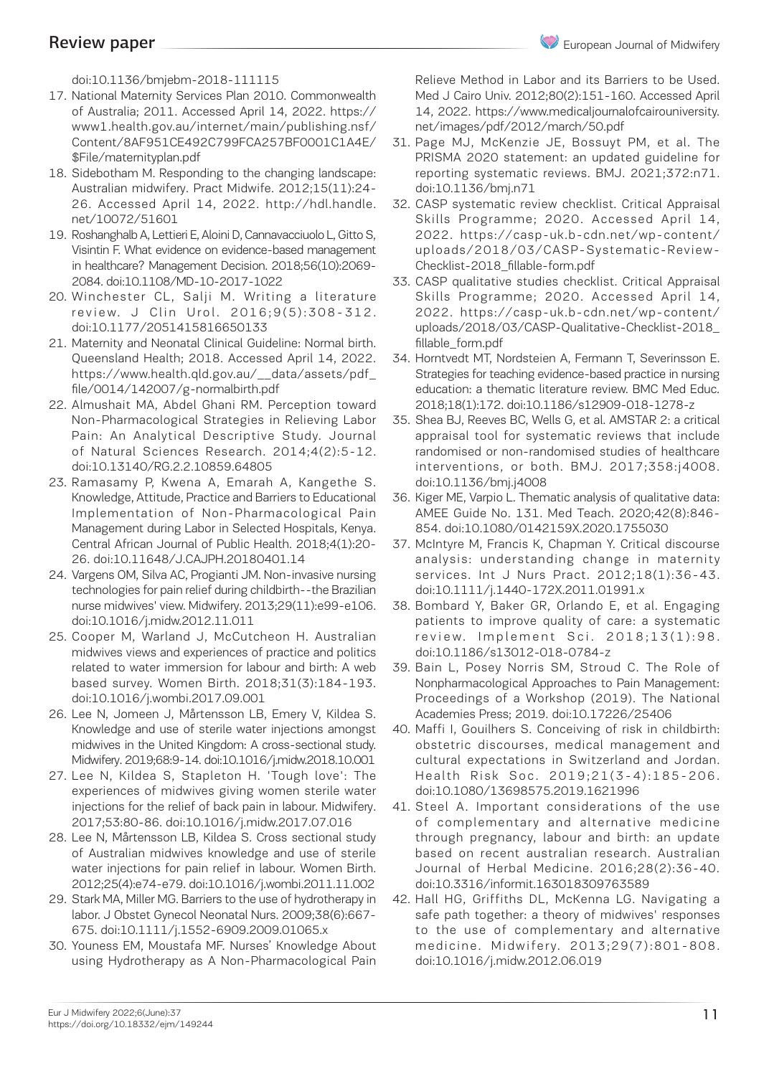doi:10.1136/bmjebm-2018-111115

- 17. National Maternity Services Plan 2010. Commonwealth of Australia; 2011. Accessed April 14, 2022. https:// www1.health.gov.au/internet/main/publishing.nsf/ Content/8AF951CE492C799FCA257BF0001C1A4E/ \$File/maternityplan.pdf
- 18. Sidebotham M. Responding to the changing landscape: Australian midwifery. Pract Midwife. 2012;15(11):24- 26. Accessed April 14, 2022. http://hdl.handle. net/10072/51601
- 19. Roshanghalb A, Lettieri E, Aloini D, Cannavacciuolo L, Gitto S, Visintin F. What evidence on evidence-based management in healthcare? Management Decision. 2018;56(10):2069- 2084. doi:10.1108/MD-10-2017-1022
- 20. Winchester CL, Salji M. Writing a literature review. J Clin Urol. 2016:9(5):308-312. doi:10.1177/2051415816650133
- 21. Maternity and Neonatal Clinical Guideline: Normal birth. Queensland Health; 2018. Accessed April 14, 2022. https://www.health.qld.gov.au/\_\_data/assets/pdf\_ file/0014/142007/g-normalbirth.pdf
- 22. Almushait MA, Abdel Ghani RM. Perception toward Non-Pharmacological Strategies in Relieving Labor Pain: An Analytical Descriptive Study. Journal of Natural Sciences Research. 2014;4(2):5-12. doi:10.13140/RG.2.2.10859.64805
- 23. Ramasamy P, Kwena A, Emarah A, Kangethe S. Knowledge, Attitude, Practice and Barriers to Educational Implementation of Non-Pharmacological Pain Management during Labor in Selected Hospitals, Kenya. Central African Journal of Public Health. 2018;4(1):20- 26. doi:10.11648/J.CAJPH.20180401.14
- 24. Vargens OM, Silva AC, Progianti JM. Non-invasive nursing technologies for pain relief during childbirth--the Brazilian nurse midwives' view. Midwifery. 2013;29(11):e99-e106. doi:10.1016/j.midw.2012.11.011
- 25. Cooper M, Warland J, McCutcheon H. Australian midwives views and experiences of practice and politics related to water immersion for labour and birth: A web based survey. Women Birth. 2018;31(3):184-193. doi:10.1016/j.wombi.2017.09.001
- 26. Lee N, Jomeen J, Mårtensson LB, Emery V, Kildea S. Knowledge and use of sterile water injections amongst midwives in the United Kingdom: A cross-sectional study. Midwifery. 2019;68:9-14. doi:10.1016/j.midw.2018.10.001
- 27. Lee N, Kildea S, Stapleton H. 'Tough love': The experiences of midwives giving women sterile water injections for the relief of back pain in labour. Midwifery. 2017;53:80-86. doi:10.1016/j.midw.2017.07.016
- 28. Lee N, Mårtensson LB, Kildea S. Cross sectional study of Australian midwives knowledge and use of sterile water injections for pain relief in labour. Women Birth. 2012;25(4):e74-e79. doi:10.1016/j.wombi.2011.11.002
- 29. Stark MA, Miller MG. Barriers to the use of hydrotherapy in labor. J Obstet Gynecol Neonatal Nurs. 2009;38(6):667- 675. doi:10.1111/j.1552-6909.2009.01065.x
- 30. Youness EM, Moustafa MF. Nurses' Knowledge About using Hydrotherapy as A Non-Pharmacological Pain

Relieve Method in Labor and its Barriers to be Used. Med J Cairo Univ. 2012;80(2):151-160. Accessed April 14, 2022. https://www.medicaljournalofcairouniversity. net/images/pdf/2012/march/50.pdf

- 31. Page MJ, McKenzie JE, Bossuyt PM, et al. The PRISMA 2020 statement: an updated guideline for reporting systematic reviews. BMJ. 2021;372:n71. doi:10.1136/bmj.n71
- 32. CASP systematic review checklist. Critical Appraisal Skills Programme; 2020. Accessed April 14, 2022. https://casp-uk.b-cdn.net/wp-content/ uploads/2018/03/CASP-Systematic-Review-Checklist-2018\_fillable-form.pdf
- 33. CASP qualitative studies checklist. Critical Appraisal Skills Programme; 2020. Accessed April 14, 2022. https://casp-uk.b-cdn.net/wp-content/ uploads/2018/03/CASP-Qualitative-Checklist-2018\_ fillable\_form.pdf
- 34. Horntvedt MT, Nordsteien A, Fermann T, Severinsson E. Strategies for teaching evidence-based practice in nursing education: a thematic literature review. BMC Med Educ. 2018;18(1):172. doi:10.1186/s12909-018-1278-z
- 35. Shea BJ, Reeves BC, Wells G, et al. AMSTAR 2: a critical appraisal tool for systematic reviews that include randomised or non-randomised studies of healthcare interventions, or both. BMJ. 2017;358:j4008. doi:10.1136/bmj.j4008
- 36. Kiger ME, Varpio L. Thematic analysis of qualitative data: AMEE Guide No. 131. Med Teach. 2020;42(8):846- 854. doi:10.1080/0142159X.2020.1755030
- 37. McIntyre M, Francis K, Chapman Y. Critical discourse analysis: understanding change in maternity services. Int J Nurs Pract. 2012;18(1):36-43. doi:10.1111/j.1440-172X.2011.01991.x
- 38. Bombard Y, Baker GR, Orlando E, et al. Engaging patients to improve quality of care: a systematic review. Implement Sci. 2018;13(1):98. doi:10.1186/s13012-018-0784-z
- 39. Bain L, Posey Norris SM, Stroud C. The Role of Nonpharmacological Approaches to Pain Management: Proceedings of a Workshop (2019). The National Academies Press; 2019. doi:10.17226/25406
- 40. Maffi I, Gouilhers S. Conceiving of risk in childbirth: obstetric discourses, medical management and cultural expectations in Switzerland and Jordan. Health Risk Soc. 2019;21(3-4):185-206. doi:10.1080/13698575.2019.1621996
- 41. Steel A. Important considerations of the use of complementary and alternative medicine through pregnancy, labour and birth: an update based on recent australian research. Australian Journal of Herbal Medicine. 2016;28(2):36-40. doi:10.3316/informit.163018309763589
- 42. Hall HG, Griffiths DL, McKenna LG. Navigating a safe path together: a theory of midwives' responses to the use of complementary and alternative medicine. Midwifery. 2013;29(7):801-808. doi:10.1016/j.midw.2012.06.019